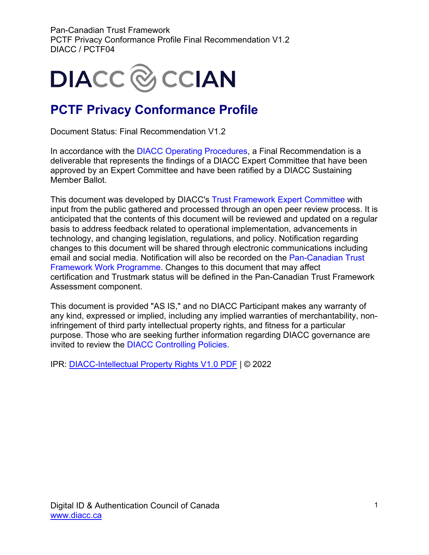

### **PCTF Privacy Conformance Profile**

Document Status: Final Recommendation V1.2

In accordance with the [DIACC Operating Procedures,](https://can01.safelinks.protection.outlook.com/?url=https%3A%2F%2Fdiacc.ca%2Fcontrolling-policies%2F&data=02%7C01%7Cerika.macphee%40becker-carroll.com%7Ced9a402501484c806da008d8036401f1%7Ce7e3e0637a104f0f9cbc2e661383895e%7C0%7C0%7C637263075353689765&sdata=Z7tlYHM1mBaA8Gk%2FLNeeJwmiIOzmoIdc9dukNrP9X7g%3D&reserved=0) a Final Recommendation is a deliverable that represents the findings of a DIACC Expert Committee that have been approved by an Expert Committee and have been ratified by a DIACC Sustaining Member Ballot.

This document was developed by DIACC's [Trust Framework Expert Committee](https://can01.safelinks.protection.outlook.com/?url=https%3A%2F%2Fdiacc.ca%2Fthe-diacc%2Fcommittees%2F&data=02%7C01%7Cerika.macphee%40becker-carroll.com%7Ced9a402501484c806da008d8036401f1%7Ce7e3e0637a104f0f9cbc2e661383895e%7C0%7C0%7C637263075353699761&sdata=SHRfl3oOrTTYFXiY1i4fXuB1aYTZkVlU3QB3l9%2BQCA8%3D&reserved=0) with input from the public gathered and processed through an open peer review process. It is anticipated that the contents of this document will be reviewed and updated on a regular basis to address feedback related to operational implementation, advancements in technology, and changing legislation, regulations, and policy. Notification regarding changes to this document will be shared through electronic communications including email and social media. Notification will also be recorded on the [Pan-Canadian Trust](https://can01.safelinks.protection.outlook.com/?url=https%3A%2F%2Fdiacc.ca%2Ftrust-framework%2F&data=02%7C01%7Cerika.macphee%40becker-carroll.com%7Ced9a402501484c806da008d8036401f1%7Ce7e3e0637a104f0f9cbc2e661383895e%7C0%7C0%7C637263075353699761&sdata=0a%2BY8j2y16CbIozJwC5%2FXcvvJLBKPrqwXcY2SlMnD%2FQ%3D&reserved=0)  [Framework Work Programme.](https://can01.safelinks.protection.outlook.com/?url=https%3A%2F%2Fdiacc.ca%2Ftrust-framework%2F&data=02%7C01%7Cerika.macphee%40becker-carroll.com%7Ced9a402501484c806da008d8036401f1%7Ce7e3e0637a104f0f9cbc2e661383895e%7C0%7C0%7C637263075353699761&sdata=0a%2BY8j2y16CbIozJwC5%2FXcvvJLBKPrqwXcY2SlMnD%2FQ%3D&reserved=0) Changes to this document that may affect certification and Trustmark status will be defined in the Pan-Canadian Trust Framework Assessment component.

This document is provided "AS IS," and no DIACC Participant makes any warranty of any kind, expressed or implied, including any implied warranties of merchantability, noninfringement of third party intellectual property rights, and fitness for a particular purpose. Those who are seeking further information regarding DIACC governance are invited to review the [DIACC Controlling Policies.](https://can01.safelinks.protection.outlook.com/?url=https%3A%2F%2Fdiacc.ca%2Fcontrolling-policies%2F&data=02%7C01%7Cerika.macphee%40becker-carroll.com%7Ced9a402501484c806da008d8036401f1%7Ce7e3e0637a104f0f9cbc2e661383895e%7C0%7C0%7C637263075353709758&sdata=NueZpNK0sqSIJTTCDh88Q5OlqvoCMgmjAt052zTDRpI%3D&reserved=0)

IPR: [DIACC-Intellectual Property Rights V1.0 PDF](https://diacc.ca/wp-content/uploads/2020/05/DIACC-Intellectual-Property-Rights-V1.pdf) | © 2022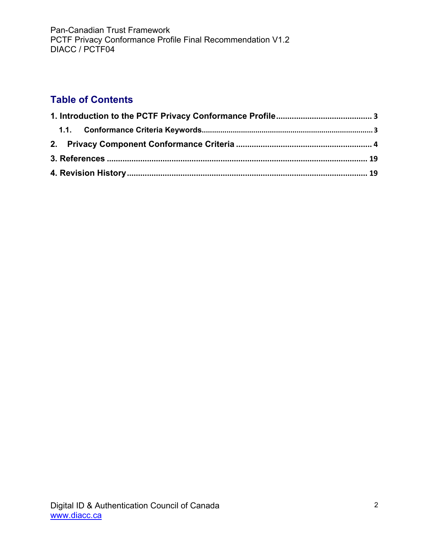### **Table of Contents**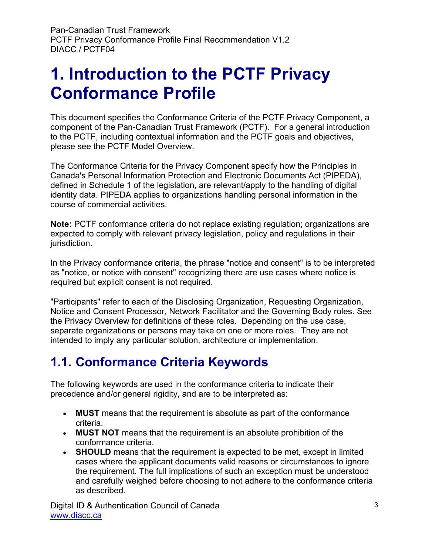## <span id="page-2-0"></span>**1. Introduction to the PCTF Privacy Conformance Profile**

This document specifies the Conformance Criteria of the PCTF Privacy Component, a component of the Pan-Canadian Trust Framework (PCTF). For a general introduction to the PCTF, including contextual information and the PCTF goals and objectives, please see the PCTF Model Overview.

The Conformance Criteria for the Privacy Component specify how the Principles in Canada's Personal Information Protection and Electronic Documents Act (PIPEDA), defined in Schedule 1 of the legislation, are relevant/apply to the handling of digital identity data. PIPEDA applies to organizations handling personal information in the course of commercial activities.

**Note:** PCTF conformance criteria do not replace existing regulation; organizations are expected to comply with relevant privacy legislation, policy and regulations in their jurisdiction.

In the Privacy conformance criteria, the phrase "notice and consent" is to be interpreted as "notice, or notice with consent" recognizing there are use cases where notice is required but explicit consent is not required.

"Participants" refer to each of the Disclosing Organization, Requesting Organization, Notice and Consent Processor, Network Facilitator and the Governing Body roles. See the Privacy Overview for definitions of these roles. Depending on the use case, separate organizations or persons may take on one or more roles. They are not intended to imply any particular solution, architecture or implementation.

### <span id="page-2-1"></span>**1.1. Conformance Criteria Keywords**

The following keywords are used in the conformance criteria to indicate their precedence and/or general rigidity, and are to be interpreted as:

- **MUST** means that the requirement is absolute as part of the conformance criteria.
- **MUST NOT** means that the requirement is an absolute prohibition of the conformance criteria.
- **SHOULD** means that the requirement is expected to be met, except in limited cases where the applicant documents valid reasons or circumstances to ignore the requirement. The full implications of such an exception must be understood and carefully weighed before choosing to not adhere to the conformance criteria as described.

Digital ID & Authentication Council of Canada [www.diacc.ca](http://www.diacc.ca/)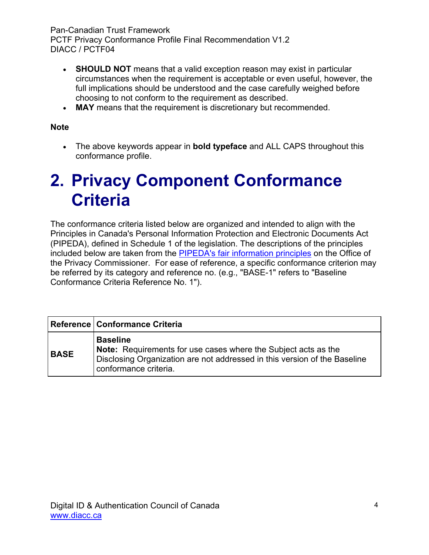- **SHOULD NOT** means that a valid exception reason may exist in particular circumstances when the requirement is acceptable or even useful, however, the full implications should be understood and the case carefully weighed before choosing to not conform to the requirement as described.
- **MAY** means that the requirement is discretionary but recommended.

#### **Note**

• The above keywords appear in **bold typeface** and ALL CAPS throughout this conformance profile.

## <span id="page-3-0"></span>**2. Privacy Component Conformance Criteria**

The conformance criteria listed below are organized and intended to align with the Principles in Canada's Personal Information Protection and Electronic Documents Act (PIPEDA), defined in Schedule 1 of the legislation. The descriptions of the principles included below are taken from the [PIPEDA's fair information principles](https://www.priv.gc.ca/en/privacy-topics/privacy-laws-in-canada/the-personal-information-protection-and-electronic-documents-act-pipeda/p_principle/) on the Office of the Privacy Commissioner. For ease of reference, a specific conformance criterion may be referred by its category and reference no. (e.g., "BASE-1" refers to "Baseline Conformance Criteria Reference No. 1").

|             | Reference   Conformance Criteria                                                                                                                                                               |
|-------------|------------------------------------------------------------------------------------------------------------------------------------------------------------------------------------------------|
| <b>BASE</b> | <b>Baseline</b><br><b>Note:</b> Requirements for use cases where the Subject acts as the<br>Disclosing Organization are not addressed in this version of the Baseline<br>conformance criteria. |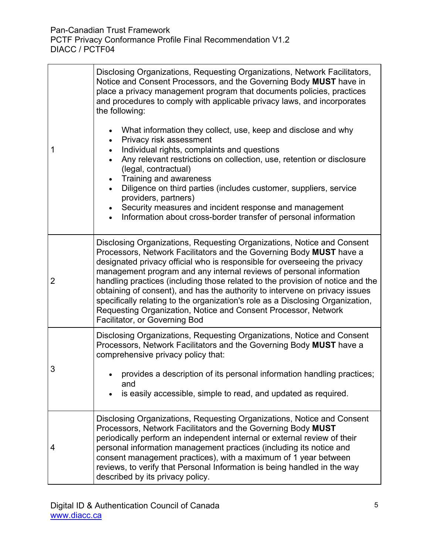| 1              | Disclosing Organizations, Requesting Organizations, Network Facilitators,<br>Notice and Consent Processors, and the Governing Body MUST have in<br>place a privacy management program that documents policies, practices<br>and procedures to comply with applicable privacy laws, and incorporates<br>the following:<br>What information they collect, use, keep and disclose and why<br>$\bullet$<br>Privacy risk assessment<br>Individual rights, complaints and questions<br>Any relevant restrictions on collection, use, retention or disclosure<br>(legal, contractual)<br>Training and awareness<br>Diligence on third parties (includes customer, suppliers, service<br>$\bullet$<br>providers, partners) |
|----------------|--------------------------------------------------------------------------------------------------------------------------------------------------------------------------------------------------------------------------------------------------------------------------------------------------------------------------------------------------------------------------------------------------------------------------------------------------------------------------------------------------------------------------------------------------------------------------------------------------------------------------------------------------------------------------------------------------------------------|
|                | Security measures and incident response and management<br>Information about cross-border transfer of personal information                                                                                                                                                                                                                                                                                                                                                                                                                                                                                                                                                                                          |
| $\overline{2}$ | Disclosing Organizations, Requesting Organizations, Notice and Consent<br>Processors, Network Facilitators and the Governing Body MUST have a<br>designated privacy official who is responsible for overseeing the privacy<br>management program and any internal reviews of personal information<br>handling practices (including those related to the provision of notice and the<br>obtaining of consent), and has the authority to intervene on privacy issues<br>specifically relating to the organization's role as a Disclosing Organization,<br>Requesting Organization, Notice and Consent Processor, Network<br>Facilitator, or Governing Bod                                                            |
| 3              | Disclosing Organizations, Requesting Organizations, Notice and Consent<br>Processors, Network Facilitators and the Governing Body MUST have a<br>comprehensive privacy policy that:<br>provides a description of its personal information handling practices;<br>and<br>is easily accessible, simple to read, and updated as required.                                                                                                                                                                                                                                                                                                                                                                             |
| 4              | Disclosing Organizations, Requesting Organizations, Notice and Consent<br>Processors, Network Facilitators and the Governing Body MUST<br>periodically perform an independent internal or external review of their<br>personal information management practices (including its notice and<br>consent management practices), with a maximum of 1 year between<br>reviews, to verify that Personal Information is being handled in the way<br>described by its privacy policy.                                                                                                                                                                                                                                       |

 $\overline{\mathbf{1}}$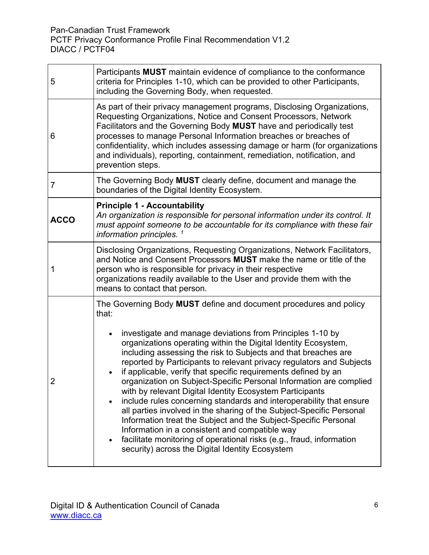| 5           | Participants MUST maintain evidence of compliance to the conformance<br>criteria for Principles 1-10, which can be provided to other Participants,<br>including the Governing Body, when requested.                                                                                                                                                                                                                                                                                                                                                                                                                                                                                                                                                                                                                                                                                                                                                                              |
|-------------|----------------------------------------------------------------------------------------------------------------------------------------------------------------------------------------------------------------------------------------------------------------------------------------------------------------------------------------------------------------------------------------------------------------------------------------------------------------------------------------------------------------------------------------------------------------------------------------------------------------------------------------------------------------------------------------------------------------------------------------------------------------------------------------------------------------------------------------------------------------------------------------------------------------------------------------------------------------------------------|
| 6           | As part of their privacy management programs, Disclosing Organizations,<br>Requesting Organizations, Notice and Consent Processors, Network<br>Facilitators and the Governing Body MUST have and periodically test<br>processes to manage Personal Information breaches or breaches of<br>confidentiality, which includes assessing damage or harm (for organizations<br>and individuals), reporting, containment, remediation, notification, and<br>prevention steps.                                                                                                                                                                                                                                                                                                                                                                                                                                                                                                           |
| 7           | The Governing Body MUST clearly define, document and manage the<br>boundaries of the Digital Identity Ecosystem.                                                                                                                                                                                                                                                                                                                                                                                                                                                                                                                                                                                                                                                                                                                                                                                                                                                                 |
| <b>ACCO</b> | <b>Principle 1 - Accountability</b><br>An organization is responsible for personal information under its control. It<br>must appoint someone to be accountable for its compliance with these fair<br>information principles. <sup>1</sup>                                                                                                                                                                                                                                                                                                                                                                                                                                                                                                                                                                                                                                                                                                                                        |
| 1           | Disclosing Organizations, Requesting Organizations, Network Facilitators,<br>and Notice and Consent Processors MUST make the name or title of the<br>person who is responsible for privacy in their respective<br>organizations readily available to the User and provide them with the<br>means to contact that person.                                                                                                                                                                                                                                                                                                                                                                                                                                                                                                                                                                                                                                                         |
| z           | The Governing Body MUST define and document procedures and policy<br>that:<br>investigate and manage deviations from Principles 1-10 by<br>$\bullet$<br>organizations operating within the Digital Identity Ecosystem,<br>including assessing the risk to Subjects and that breaches are<br>reported by Participants to relevant privacy regulators and Subjects<br>if applicable, verify that specific requirements defined by an<br>organization on Subject-Specific Personal Information are complied<br>with by relevant Digital Identity Ecosystem Participants<br>include rules concerning standards and interoperability that ensure<br>$\bullet$<br>all parties involved in the sharing of the Subject-Specific Personal<br>Information treat the Subject and the Subject-Specific Personal<br>Information in a consistent and compatible way<br>facilitate monitoring of operational risks (e.g., fraud, information<br>security) across the Digital Identity Ecosystem |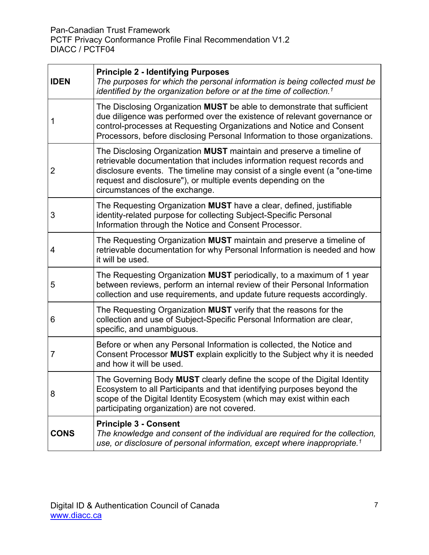| <b>IDEN</b> | <b>Principle 2 - Identifying Purposes</b><br>The purposes for which the personal information is being collected must be<br>identified by the organization before or at the time of collection. <sup>1</sup>                                                                                                                      |
|-------------|----------------------------------------------------------------------------------------------------------------------------------------------------------------------------------------------------------------------------------------------------------------------------------------------------------------------------------|
| 1           | The Disclosing Organization MUST be able to demonstrate that sufficient<br>due diligence was performed over the existence of relevant governance or<br>control-processes at Requesting Organizations and Notice and Consent<br>Processors, before disclosing Personal Information to those organizations.                        |
| 2           | The Disclosing Organization MUST maintain and preserve a timeline of<br>retrievable documentation that includes information request records and<br>disclosure events. The timeline may consist of a single event (a "one-time<br>request and disclosure"), or multiple events depending on the<br>circumstances of the exchange. |
| 3           | The Requesting Organization MUST have a clear, defined, justifiable<br>identity-related purpose for collecting Subject-Specific Personal<br>Information through the Notice and Consent Processor.                                                                                                                                |
| 4           | The Requesting Organization MUST maintain and preserve a timeline of<br>retrievable documentation for why Personal Information is needed and how<br>it will be used.                                                                                                                                                             |
| 5           | The Requesting Organization MUST periodically, to a maximum of 1 year<br>between reviews, perform an internal review of their Personal Information<br>collection and use requirements, and update future requests accordingly.                                                                                                   |
| 6           | The Requesting Organization MUST verify that the reasons for the<br>collection and use of Subject-Specific Personal Information are clear,<br>specific, and unambiguous.                                                                                                                                                         |
| 7           | Before or when any Personal Information is collected, the Notice and<br>Consent Processor MUST explain explicitly to the Subject why it is needed<br>and how it will be used.                                                                                                                                                    |
| 8           | The Governing Body MUST clearly define the scope of the Digital Identity<br>Ecosystem to all Participants and that identifying purposes beyond the<br>scope of the Digital Identity Ecosystem (which may exist within each<br>participating organization) are not covered.                                                       |
| <b>CONS</b> | <b>Principle 3 - Consent</b><br>The knowledge and consent of the individual are required for the collection,<br>use, or disclosure of personal information, except where inappropriate. <sup>1</sup>                                                                                                                             |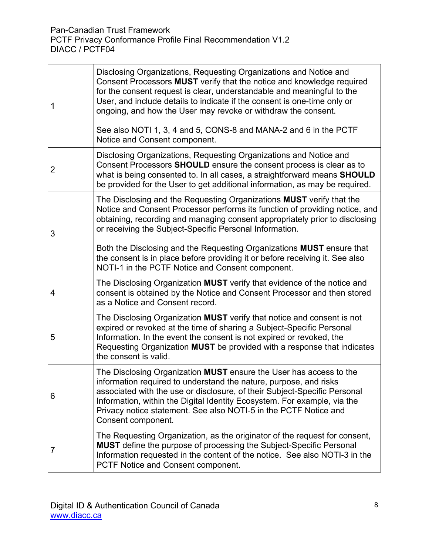$\mathbf{r}$ 

| 1 | Disclosing Organizations, Requesting Organizations and Notice and<br>Consent Processors MUST verify that the notice and knowledge required<br>for the consent request is clear, understandable and meaningful to the<br>User, and include details to indicate if the consent is one-time only or<br>ongoing, and how the User may revoke or withdraw the consent.<br>See also NOTI 1, 3, 4 and 5, CONS-8 and MANA-2 and 6 in the PCTF<br>Notice and Consent component.                                            |
|---|-------------------------------------------------------------------------------------------------------------------------------------------------------------------------------------------------------------------------------------------------------------------------------------------------------------------------------------------------------------------------------------------------------------------------------------------------------------------------------------------------------------------|
| 2 | Disclosing Organizations, Requesting Organizations and Notice and<br>Consent Processors SHOULD ensure the consent process is clear as to<br>what is being consented to. In all cases, a straightforward means SHOULD<br>be provided for the User to get additional information, as may be required.                                                                                                                                                                                                               |
| 3 | The Disclosing and the Requesting Organizations MUST verify that the<br>Notice and Consent Processor performs its function of providing notice, and<br>obtaining, recording and managing consent appropriately prior to disclosing<br>or receiving the Subject-Specific Personal Information.<br>Both the Disclosing and the Requesting Organizations <b>MUST</b> ensure that<br>the consent is in place before providing it or before receiving it. See also<br>NOTI-1 in the PCTF Notice and Consent component. |
| 4 | The Disclosing Organization MUST verify that evidence of the notice and<br>consent is obtained by the Notice and Consent Processor and then stored<br>as a Notice and Consent record.                                                                                                                                                                                                                                                                                                                             |
| 5 | The Disclosing Organization MUST verify that notice and consent is not<br>expired or revoked at the time of sharing a Subject-Specific Personal<br>Information. In the event the consent is not expired or revoked, the<br>Requesting Organization MUST be provided with a response that indicates<br>the consent is valid.                                                                                                                                                                                       |
| 6 | The Disclosing Organization MUST ensure the User has access to the<br>information required to understand the nature, purpose, and risks<br>associated with the use or disclosure, of their Subject-Specific Personal<br>Information, within the Digital Identity Ecosystem. For example, via the<br>Privacy notice statement. See also NOTI-5 in the PCTF Notice and<br>Consent component.                                                                                                                        |
| 7 | The Requesting Organization, as the originator of the request for consent,<br><b>MUST</b> define the purpose of processing the Subject-Specific Personal<br>Information requested in the content of the notice. See also NOTI-3 in the<br>PCTF Notice and Consent component.                                                                                                                                                                                                                                      |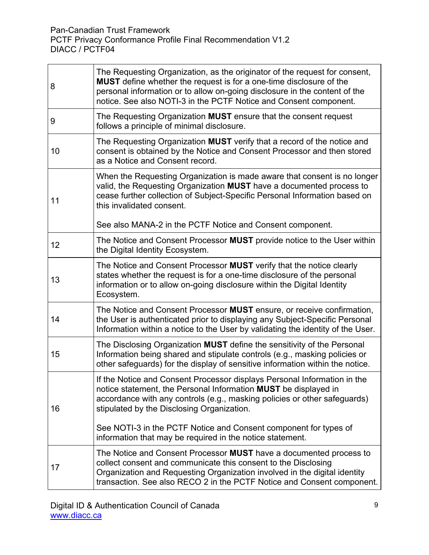| 8  | The Requesting Organization, as the originator of the request for consent,<br>MUST define whether the request is for a one-time disclosure of the<br>personal information or to allow on-going disclosure in the content of the<br>notice. See also NOTI-3 in the PCTF Notice and Consent component.                     |
|----|--------------------------------------------------------------------------------------------------------------------------------------------------------------------------------------------------------------------------------------------------------------------------------------------------------------------------|
| 9  | The Requesting Organization MUST ensure that the consent request<br>follows a principle of minimal disclosure.                                                                                                                                                                                                           |
| 10 | The Requesting Organization MUST verify that a record of the notice and<br>consent is obtained by the Notice and Consent Processor and then stored<br>as a Notice and Consent record.                                                                                                                                    |
| 11 | When the Requesting Organization is made aware that consent is no longer<br>valid, the Requesting Organization MUST have a documented process to<br>cease further collection of Subject-Specific Personal Information based on<br>this invalidated consent.<br>See also MANA-2 in the PCTF Notice and Consent component. |
| 12 | The Notice and Consent Processor MUST provide notice to the User within<br>the Digital Identity Ecosystem.                                                                                                                                                                                                               |
| 13 | The Notice and Consent Processor MUST verify that the notice clearly<br>states whether the request is for a one-time disclosure of the personal<br>information or to allow on-going disclosure within the Digital Identity<br>Ecosystem.                                                                                 |
| 14 | The Notice and Consent Processor MUST ensure, or receive confirmation,<br>the User is authenticated prior to displaying any Subject-Specific Personal<br>Information within a notice to the User by validating the identity of the User.                                                                                 |
| 15 | The Disclosing Organization MUST define the sensitivity of the Personal<br>Information being shared and stipulate controls (e.g., masking policies or<br>other safeguards) for the display of sensitive information within the notice.                                                                                   |
| 16 | If the Notice and Consent Processor displays Personal Information in the<br>notice statement, the Personal Information MUST be displayed in<br>accordance with any controls (e.g., masking policies or other safeguards)<br>stipulated by the Disclosing Organization.                                                   |
|    | See NOTI-3 in the PCTF Notice and Consent component for types of<br>information that may be required in the notice statement.                                                                                                                                                                                            |
| 17 | The Notice and Consent Processor MUST have a documented process to<br>collect consent and communicate this consent to the Disclosing<br>Organization and Requesting Organization involved in the digital identity<br>transaction. See also RECO 2 in the PCTF Notice and Consent component.                              |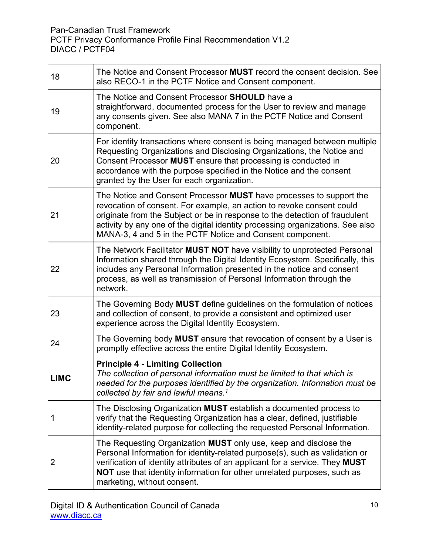| 18          | The Notice and Consent Processor MUST record the consent decision. See<br>also RECO-1 in the PCTF Notice and Consent component.                                                                                                                                                                                                                                            |
|-------------|----------------------------------------------------------------------------------------------------------------------------------------------------------------------------------------------------------------------------------------------------------------------------------------------------------------------------------------------------------------------------|
| 19          | The Notice and Consent Processor SHOULD have a<br>straightforward, documented process for the User to review and manage<br>any consents given. See also MANA 7 in the PCTF Notice and Consent<br>component.                                                                                                                                                                |
| 20          | For identity transactions where consent is being managed between multiple<br>Requesting Organizations and Disclosing Organizations, the Notice and<br>Consent Processor MUST ensure that processing is conducted in<br>accordance with the purpose specified in the Notice and the consent<br>granted by the User for each organization.                                   |
| 21          | The Notice and Consent Processor MUST have processes to support the<br>revocation of consent. For example, an action to revoke consent could<br>originate from the Subject or be in response to the detection of fraudulent<br>activity by any one of the digital identity processing organizations. See also<br>MANA-3, 4 and 5 in the PCTF Notice and Consent component. |
| 22          | The Network Facilitator MUST NOT have visibility to unprotected Personal<br>Information shared through the Digital Identity Ecosystem. Specifically, this<br>includes any Personal Information presented in the notice and consent<br>process, as well as transmission of Personal Information through the<br>network.                                                     |
| 23          | The Governing Body MUST define guidelines on the formulation of notices<br>and collection of consent, to provide a consistent and optimized user<br>experience across the Digital Identity Ecosystem.                                                                                                                                                                      |
| 24          | The Governing body MUST ensure that revocation of consent by a User is<br>promptly effective across the entire Digital Identity Ecosystem.                                                                                                                                                                                                                                 |
| <b>LIMC</b> | <b>Principle 4 - Limiting Collection</b><br>The collection of personal information must be limited to that which is<br>needed for the purposes identified by the organization. Information must be<br>collected by fair and lawful means. <sup>1</sup>                                                                                                                     |
| 1           | The Disclosing Organization MUST establish a documented process to<br>verify that the Requesting Organization has a clear, defined, justifiable<br>identity-related purpose for collecting the requested Personal Information.                                                                                                                                             |
| 2           | The Requesting Organization MUST only use, keep and disclose the<br>Personal Information for identity-related purpose(s), such as validation or<br>verification of identity attributes of an applicant for a service. They MUST<br>NOT use that identity information for other unrelated purposes, such as<br>marketing, without consent.                                  |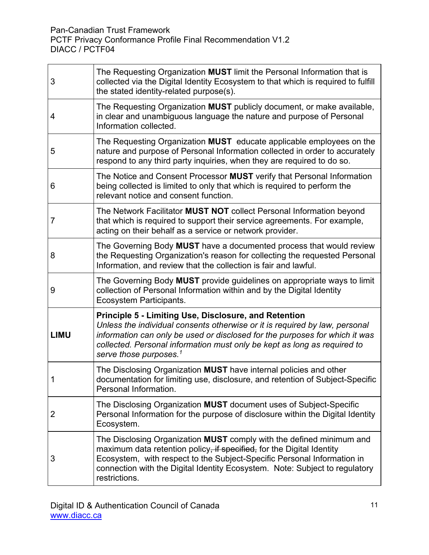Pan-Canadian Trust Framework

PCTF Privacy Conformance Profile Final Recommendation V1.2 DIACC / PCTF04

| 3           | The Requesting Organization MUST limit the Personal Information that is<br>collected via the Digital Identity Ecosystem to that which is required to fulfill<br>the stated identity-related purpose(s).                                                                                                                                      |
|-------------|----------------------------------------------------------------------------------------------------------------------------------------------------------------------------------------------------------------------------------------------------------------------------------------------------------------------------------------------|
| 4           | The Requesting Organization MUST publicly document, or make available,<br>in clear and unambiguous language the nature and purpose of Personal<br>Information collected.                                                                                                                                                                     |
| 5           | The Requesting Organization MUST educate applicable employees on the<br>nature and purpose of Personal Information collected in order to accurately<br>respond to any third party inquiries, when they are required to do so.                                                                                                                |
| 6           | The Notice and Consent Processor MUST verify that Personal Information<br>being collected is limited to only that which is required to perform the<br>relevant notice and consent function.                                                                                                                                                  |
| 7           | The Network Facilitator MUST NOT collect Personal Information beyond<br>that which is required to support their service agreements. For example,<br>acting on their behalf as a service or network provider.                                                                                                                                 |
| 8           | The Governing Body MUST have a documented process that would review<br>the Requesting Organization's reason for collecting the requested Personal<br>Information, and review that the collection is fair and lawful.                                                                                                                         |
| 9           | The Governing Body MUST provide guidelines on appropriate ways to limit<br>collection of Personal Information within and by the Digital Identity<br>Ecosystem Participants.                                                                                                                                                                  |
| <b>LIMU</b> | <b>Principle 5 - Limiting Use, Disclosure, and Retention</b><br>Unless the individual consents otherwise or it is required by law, personal<br>information can only be used or disclosed for the purposes for which it was<br>collected. Personal information must only be kept as long as required to<br>serve those purposes. <sup>1</sup> |
| 1           | The Disclosing Organization MUST have internal policies and other<br>documentation for limiting use, disclosure, and retention of Subject-Specific<br>Personal Information.                                                                                                                                                                  |
| 2           | The Disclosing Organization MUST document uses of Subject-Specific<br>Personal Information for the purpose of disclosure within the Digital Identity<br>Ecosystem.                                                                                                                                                                           |
| 3           | The Disclosing Organization MUST comply with the defined minimum and<br>maximum data retention policy, if specified, for the Digital Identity<br>Ecosystem, with respect to the Subject-Specific Personal Information in<br>connection with the Digital Identity Ecosystem. Note: Subject to regulatory<br>restrictions.                     |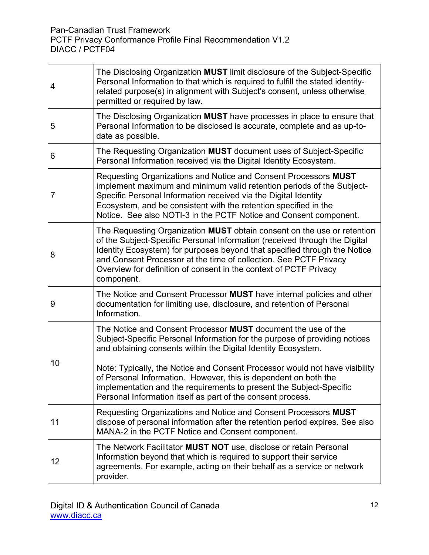| 4  | The Disclosing Organization MUST limit disclosure of the Subject-Specific<br>Personal Information to that which is required to fulfill the stated identity-<br>related purpose(s) in alignment with Subject's consent, unless otherwise<br>permitted or required by law.                                                                                                                   |
|----|--------------------------------------------------------------------------------------------------------------------------------------------------------------------------------------------------------------------------------------------------------------------------------------------------------------------------------------------------------------------------------------------|
| 5  | The Disclosing Organization MUST have processes in place to ensure that<br>Personal Information to be disclosed is accurate, complete and as up-to-<br>date as possible.                                                                                                                                                                                                                   |
| 6  | The Requesting Organization MUST document uses of Subject-Specific<br>Personal Information received via the Digital Identity Ecosystem.                                                                                                                                                                                                                                                    |
| 7  | Requesting Organizations and Notice and Consent Processors MUST<br>implement maximum and minimum valid retention periods of the Subject-<br>Specific Personal Information received via the Digital Identity<br>Ecosystem, and be consistent with the retention specified in the<br>Notice. See also NOTI-3 in the PCTF Notice and Consent component.                                       |
| 8  | The Requesting Organization MUST obtain consent on the use or retention<br>of the Subject-Specific Personal Information (received through the Digital<br>Identity Ecosystem) for purposes beyond that specified through the Notice<br>and Consent Processor at the time of collection. See PCTF Privacy<br>Overview for definition of consent in the context of PCTF Privacy<br>component. |
| 9  | The Notice and Consent Processor MUST have internal policies and other<br>documentation for limiting use, disclosure, and retention of Personal<br>Information.                                                                                                                                                                                                                            |
| 10 | The Notice and Consent Processor MUST document the use of the<br>Subject-Specific Personal Information for the purpose of providing notices<br>and obtaining consents within the Digital Identity Ecosystem.                                                                                                                                                                               |
|    | Note: Typically, the Notice and Consent Processor would not have visibility<br>of Personal Information. However, this is dependent on both the<br>implementation and the requirements to present the Subject-Specific<br>Personal Information itself as part of the consent process.                                                                                                       |
| 11 | Requesting Organizations and Notice and Consent Processors MUST<br>dispose of personal information after the retention period expires. See also<br>MANA-2 in the PCTF Notice and Consent component.                                                                                                                                                                                        |
| 12 | The Network Facilitator MUST NOT use, disclose or retain Personal<br>Information beyond that which is required to support their service<br>agreements. For example, acting on their behalf as a service or network<br>provider.                                                                                                                                                            |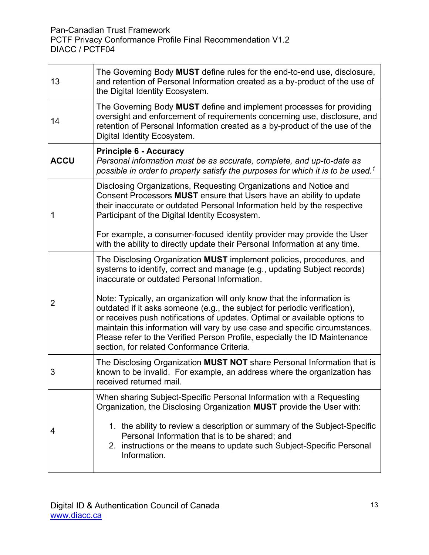Pan-Canadian Trust Framework

PCTF Privacy Conformance Profile Final Recommendation V1.2 DIACC / PCTF04

| 13          | The Governing Body MUST define rules for the end-to-end use, disclosure,<br>and retention of Personal Information created as a by-product of the use of<br>the Digital Identity Ecosystem.                                                                                                                                                                                                                                                     |
|-------------|------------------------------------------------------------------------------------------------------------------------------------------------------------------------------------------------------------------------------------------------------------------------------------------------------------------------------------------------------------------------------------------------------------------------------------------------|
| 14          | The Governing Body MUST define and implement processes for providing<br>oversight and enforcement of requirements concerning use, disclosure, and<br>retention of Personal Information created as a by-product of the use of the<br>Digital Identity Ecosystem.                                                                                                                                                                                |
| <b>ACCU</b> | <b>Principle 6 - Accuracy</b><br>Personal information must be as accurate, complete, and up-to-date as<br>possible in order to properly satisfy the purposes for which it is to be used. <sup>1</sup>                                                                                                                                                                                                                                          |
| 1           | Disclosing Organizations, Requesting Organizations and Notice and<br>Consent Processors MUST ensure that Users have an ability to update<br>their inaccurate or outdated Personal Information held by the respective<br>Participant of the Digital Identity Ecosystem.                                                                                                                                                                         |
|             | For example, a consumer-focused identity provider may provide the User<br>with the ability to directly update their Personal Information at any time.                                                                                                                                                                                                                                                                                          |
|             | The Disclosing Organization MUST implement policies, procedures, and<br>systems to identify, correct and manage (e.g., updating Subject records)<br>inaccurate or outdated Personal Information.                                                                                                                                                                                                                                               |
| 2           | Note: Typically, an organization will only know that the information is<br>outdated if it asks someone (e.g., the subject for periodic verification),<br>or receives push notifications of updates. Optimal or available options to<br>maintain this information will vary by use case and specific circumstances.<br>Please refer to the Verified Person Profile, especially the ID Maintenance<br>section, for related Conformance Criteria. |
| 3           | The Disclosing Organization MUST NOT share Personal Information that is<br>known to be invalid. For example, an address where the organization has<br>received returned mail.                                                                                                                                                                                                                                                                  |
|             | When sharing Subject-Specific Personal Information with a Requesting<br>Organization, the Disclosing Organization MUST provide the User with:                                                                                                                                                                                                                                                                                                  |
| 4           | 1. the ability to review a description or summary of the Subject-Specific<br>Personal Information that is to be shared; and<br>2. instructions or the means to update such Subject-Specific Personal<br>Information.                                                                                                                                                                                                                           |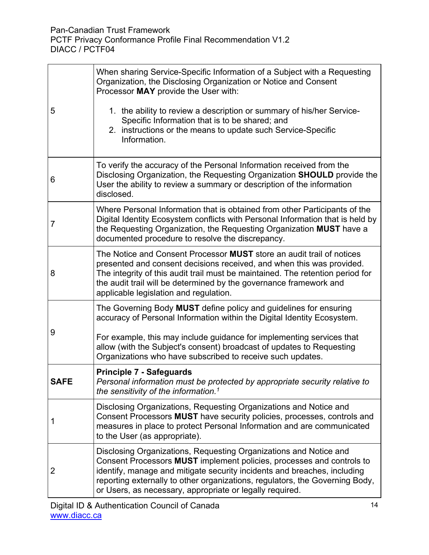$\mathbf{r}$ 

| 5    | When sharing Service-Specific Information of a Subject with a Requesting<br>Organization, the Disclosing Organization or Notice and Consent<br>Processor MAY provide the User with:<br>1. the ability to review a description or summary of his/her Service-<br>Specific Information that is to be shared; and<br>2. instructions or the means to update such Service-Specific<br>Information. |
|------|------------------------------------------------------------------------------------------------------------------------------------------------------------------------------------------------------------------------------------------------------------------------------------------------------------------------------------------------------------------------------------------------|
| 6    | To verify the accuracy of the Personal Information received from the<br>Disclosing Organization, the Requesting Organization SHOULD provide the<br>User the ability to review a summary or description of the information<br>disclosed.                                                                                                                                                        |
| 7    | Where Personal Information that is obtained from other Participants of the<br>Digital Identity Ecosystem conflicts with Personal Information that is held by<br>the Requesting Organization, the Requesting Organization MUST have a<br>documented procedure to resolve the discrepancy.                                                                                                       |
| 8    | The Notice and Consent Processor MUST store an audit trail of notices<br>presented and consent decisions received, and when this was provided.<br>The integrity of this audit trail must be maintained. The retention period for<br>the audit trail will be determined by the governance framework and<br>applicable legislation and regulation.                                               |
| 9    | The Governing Body MUST define policy and guidelines for ensuring<br>accuracy of Personal Information within the Digital Identity Ecosystem.<br>For example, this may include guidance for implementing services that<br>allow (with the Subject's consent) broadcast of updates to Requesting<br>Organizations who have subscribed to receive such updates.                                   |
| SAFE | <b>Principle 7 - Safeguards</b><br>Personal information must be protected by appropriate security relative to<br>the sensitivity of the information. <sup>1</sup>                                                                                                                                                                                                                              |
| 1    | Disclosing Organizations, Requesting Organizations and Notice and<br>Consent Processors MUST have security policies, processes, controls and<br>measures in place to protect Personal Information and are communicated<br>to the User (as appropriate).                                                                                                                                        |
| 2    | Disclosing Organizations, Requesting Organizations and Notice and<br>Consent Processors MUST implement policies, processes and controls to<br>identify, manage and mitigate security incidents and breaches, including<br>reporting externally to other organizations, regulators, the Governing Body,<br>or Users, as necessary, appropriate or legally required.                             |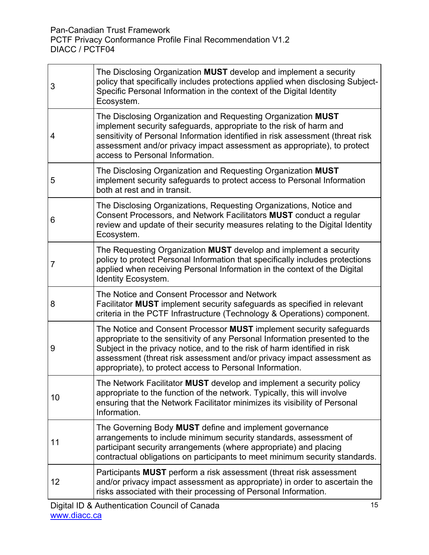| 3  | The Disclosing Organization MUST develop and implement a security<br>policy that specifically includes protections applied when disclosing Subject-<br>Specific Personal Information in the context of the Digital Identity<br>Ecosystem.                                                                                                                             |  |  |  |
|----|-----------------------------------------------------------------------------------------------------------------------------------------------------------------------------------------------------------------------------------------------------------------------------------------------------------------------------------------------------------------------|--|--|--|
| 4  | The Disclosing Organization and Requesting Organization MUST<br>implement security safeguards, appropriate to the risk of harm and<br>sensitivity of Personal Information identified in risk assessment (threat risk<br>assessment and/or privacy impact assessment as appropriate), to protect<br>access to Personal Information.                                    |  |  |  |
| 5  | The Disclosing Organization and Requesting Organization MUST<br>implement security safeguards to protect access to Personal Information<br>both at rest and in transit.                                                                                                                                                                                               |  |  |  |
| 6  | The Disclosing Organizations, Requesting Organizations, Notice and<br>Consent Processors, and Network Facilitators MUST conduct a regular<br>review and update of their security measures relating to the Digital Identity<br>Ecosystem.                                                                                                                              |  |  |  |
| 7  | The Requesting Organization MUST develop and implement a security<br>policy to protect Personal Information that specifically includes protections<br>applied when receiving Personal Information in the context of the Digital<br><b>Identity Ecosystem.</b>                                                                                                         |  |  |  |
| 8  | The Notice and Consent Processor and Network<br>Facilitator <b>MUST</b> implement security safeguards as specified in relevant<br>criteria in the PCTF Infrastructure (Technology & Operations) component.                                                                                                                                                            |  |  |  |
| 9  | The Notice and Consent Processor MUST implement security safeguards<br>appropriate to the sensitivity of any Personal Information presented to the<br>Subject in the privacy notice, and to the risk of harm identified in risk<br>assessment (threat risk assessment and/or privacy impact assessment as<br>appropriate), to protect access to Personal Information. |  |  |  |
| 10 | The Network Facilitator MUST develop and implement a security policy<br>appropriate to the function of the network. Typically, this will involve<br>ensuring that the Network Facilitator minimizes its visibility of Personal<br>Information.                                                                                                                        |  |  |  |
| 11 | The Governing Body MUST define and implement governance<br>arrangements to include minimum security standards, assessment of<br>participant security arrangements (where appropriate) and placing<br>contractual obligations on participants to meet minimum security standards.                                                                                      |  |  |  |
| 12 | Participants MUST perform a risk assessment (threat risk assessment<br>and/or privacy impact assessment as appropriate) in order to ascertain the<br>risks associated with their processing of Personal Information.                                                                                                                                                  |  |  |  |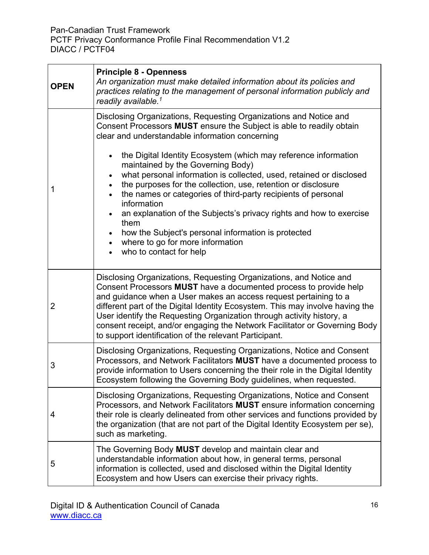r

| <b>OPEN</b>    | <b>Principle 8 - Openness</b><br>An organization must make detailed information about its policies and<br>practices relating to the management of personal information publicly and<br>readily available. <sup>1</sup>                                                                                                                                                                                                                                                                                                                                                                                                                                                                                                                                                   |  |  |  |
|----------------|--------------------------------------------------------------------------------------------------------------------------------------------------------------------------------------------------------------------------------------------------------------------------------------------------------------------------------------------------------------------------------------------------------------------------------------------------------------------------------------------------------------------------------------------------------------------------------------------------------------------------------------------------------------------------------------------------------------------------------------------------------------------------|--|--|--|
| 1              | Disclosing Organizations, Requesting Organizations and Notice and<br>Consent Processors MUST ensure the Subject is able to readily obtain<br>clear and understandable information concerning<br>the Digital Identity Ecosystem (which may reference information<br>maintained by the Governing Body)<br>what personal information is collected, used, retained or disclosed<br>the purposes for the collection, use, retention or disclosure<br>$\bullet$<br>the names or categories of third-party recipients of personal<br>$\bullet$<br>information<br>an explanation of the Subjects's privacy rights and how to exercise<br>them<br>how the Subject's personal information is protected<br>where to go for more information<br>$\bullet$<br>who to contact for help |  |  |  |
| $\overline{2}$ | Disclosing Organizations, Requesting Organizations, and Notice and<br>Consent Processors MUST have a documented process to provide help<br>and guidance when a User makes an access request pertaining to a<br>different part of the Digital Identity Ecosystem. This may involve having the<br>User identify the Requesting Organization through activity history, a<br>consent receipt, and/or engaging the Network Facilitator or Governing Body<br>to support identification of the relevant Participant.                                                                                                                                                                                                                                                            |  |  |  |
| 3              | Disclosing Organizations, Requesting Organizations, Notice and Consent<br>Processors, and Network Facilitators MUST have a documented process to<br>provide information to Users concerning the their role in the Digital Identity<br>Ecosystem following the Governing Body guidelines, when requested                                                                                                                                                                                                                                                                                                                                                                                                                                                                  |  |  |  |
| 4              | Disclosing Organizations, Requesting Organizations, Notice and Consent<br>Processors, and Network Facilitators MUST ensure information concerning<br>their role is clearly delineated from other services and functions provided by<br>the organization (that are not part of the Digital Identity Ecosystem per se),<br>such as marketing.                                                                                                                                                                                                                                                                                                                                                                                                                              |  |  |  |
| 5              | The Governing Body MUST develop and maintain clear and<br>understandable information about how, in general terms, personal<br>information is collected, used and disclosed within the Digital Identity<br>Ecosystem and how Users can exercise their privacy rights.                                                                                                                                                                                                                                                                                                                                                                                                                                                                                                     |  |  |  |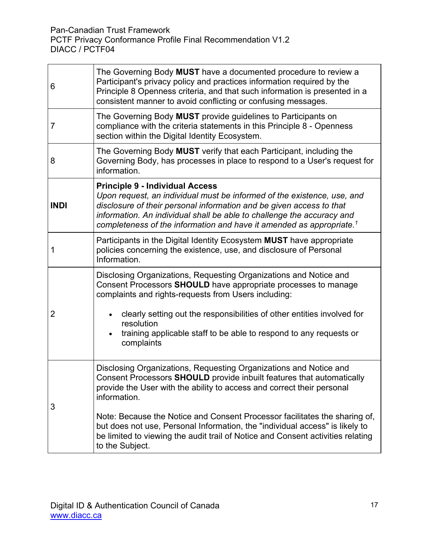| 6           | The Governing Body MUST have a documented procedure to review a<br>Participant's privacy policy and practices information required by the<br>Principle 8 Openness criteria, and that such information is presented in a<br>consistent manner to avoid conflicting or confusing messages.                                                                |  |  |  |
|-------------|---------------------------------------------------------------------------------------------------------------------------------------------------------------------------------------------------------------------------------------------------------------------------------------------------------------------------------------------------------|--|--|--|
| 7           | The Governing Body MUST provide guidelines to Participants on<br>compliance with the criteria statements in this Principle 8 - Openness<br>section within the Digital Identity Ecosystem.                                                                                                                                                               |  |  |  |
| 8           | The Governing Body MUST verify that each Participant, including the<br>Governing Body, has processes in place to respond to a User's request for<br>information.                                                                                                                                                                                        |  |  |  |
| <b>INDI</b> | <b>Principle 9 - Individual Access</b><br>Upon request, an individual must be informed of the existence, use, and<br>disclosure of their personal information and be given access to that<br>information. An individual shall be able to challenge the accuracy and<br>completeness of the information and have it amended as appropriate. <sup>1</sup> |  |  |  |
| 1           | Participants in the Digital Identity Ecosystem MUST have appropriate<br>policies concerning the existence, use, and disclosure of Personal<br>Information.                                                                                                                                                                                              |  |  |  |
| 2           | Disclosing Organizations, Requesting Organizations and Notice and<br>Consent Processors SHOULD have appropriate processes to manage<br>complaints and rights-requests from Users including:<br>clearly setting out the responsibilities of other entities involved for                                                                                  |  |  |  |
|             | resolution<br>training applicable staff to be able to respond to any requests or<br>complaints                                                                                                                                                                                                                                                          |  |  |  |
| 3           | Disclosing Organizations, Requesting Organizations and Notice and<br>Consent Processors SHOULD provide inbuilt features that automatically<br>provide the User with the ability to access and correct their personal<br>information.                                                                                                                    |  |  |  |
|             | Note: Because the Notice and Consent Processor facilitates the sharing of,<br>but does not use, Personal Information, the "individual access" is likely to<br>be limited to viewing the audit trail of Notice and Consent activities relating<br>to the Subject.                                                                                        |  |  |  |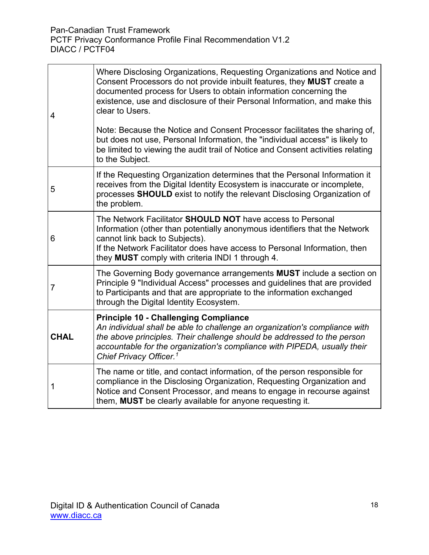| $\overline{4}$ | Where Disclosing Organizations, Requesting Organizations and Notice and<br>Consent Processors do not provide inbuilt features, they MUST create a<br>documented process for Users to obtain information concerning the<br>existence, use and disclosure of their Personal Information, and make this<br>clear to Users.<br>Note: Because the Notice and Consent Processor facilitates the sharing of,<br>but does not use, Personal Information, the "individual access" is likely to<br>be limited to viewing the audit trail of Notice and Consent activities relating<br>to the Subject. |  |  |  |
|----------------|---------------------------------------------------------------------------------------------------------------------------------------------------------------------------------------------------------------------------------------------------------------------------------------------------------------------------------------------------------------------------------------------------------------------------------------------------------------------------------------------------------------------------------------------------------------------------------------------|--|--|--|
| 5              | If the Requesting Organization determines that the Personal Information it<br>receives from the Digital Identity Ecosystem is inaccurate or incomplete,<br>processes SHOULD exist to notify the relevant Disclosing Organization of<br>the problem.                                                                                                                                                                                                                                                                                                                                         |  |  |  |
| 6              | The Network Facilitator SHOULD NOT have access to Personal<br>Information (other than potentially anonymous identifiers that the Network<br>cannot link back to Subjects).<br>If the Network Facilitator does have access to Personal Information, then<br>they MUST comply with criteria INDI 1 through 4.                                                                                                                                                                                                                                                                                 |  |  |  |
| $\overline{7}$ | The Governing Body governance arrangements <b>MUST</b> include a section on<br>Principle 9 "Individual Access" processes and guidelines that are provided<br>to Participants and that are appropriate to the information exchanged<br>through the Digital Identity Ecosystem.                                                                                                                                                                                                                                                                                                               |  |  |  |
| <b>CHAL</b>    | <b>Principle 10 - Challenging Compliance</b><br>An individual shall be able to challenge an organization's compliance with<br>the above principles. Their challenge should be addressed to the person<br>accountable for the organization's compliance with PIPEDA, usually their<br>Chief Privacy Officer. <sup>1</sup>                                                                                                                                                                                                                                                                    |  |  |  |
| 1              | The name or title, and contact information, of the person responsible for<br>compliance in the Disclosing Organization, Requesting Organization and<br>Notice and Consent Processor, and means to engage in recourse against<br>them, MUST be clearly available for anyone requesting it.                                                                                                                                                                                                                                                                                                   |  |  |  |

 $\overline{\mathbf{1}}$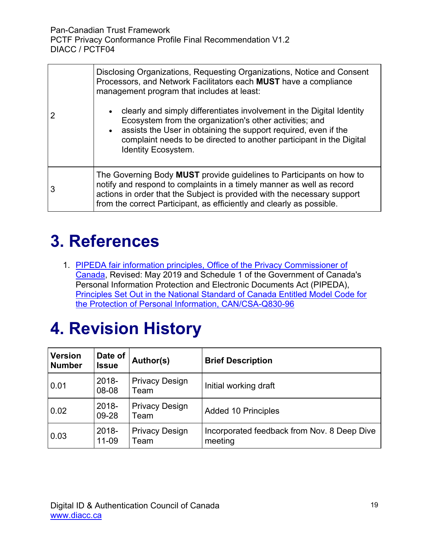| Disclosing Organizations, Requesting Organizations, Notice and Consent<br>Processors, and Network Facilitators each MUST have a compliance<br>management program that includes at least:<br>clearly and simply differentiates involvement in the Digital Identity<br>Ecosystem from the organization's other activities; and<br>assists the User in obtaining the support required, even if the<br>complaint needs to be directed to another participant in the Digital<br><b>Identity Ecosystem.</b> |  |
|-------------------------------------------------------------------------------------------------------------------------------------------------------------------------------------------------------------------------------------------------------------------------------------------------------------------------------------------------------------------------------------------------------------------------------------------------------------------------------------------------------|--|
| The Governing Body MUST provide guidelines to Participants on how to<br>notify and respond to complaints in a timely manner as well as record<br>actions in order that the Subject is provided with the necessary support<br>from the correct Participant, as efficiently and clearly as possible.                                                                                                                                                                                                    |  |

## <span id="page-18-0"></span>**3. References**

1. [PIPEDA fair information principles, Office of the Privacy Commissioner of](https://www.priv.gc.ca/en/privacy-topics/privacy-laws-in-canada/the-personal-information-protection-and-electronic-documents-act-pipeda/p_principle/)  [Canada,](https://www.priv.gc.ca/en/privacy-topics/privacy-laws-in-canada/the-personal-information-protection-and-electronic-documents-act-pipeda/p_principle/) Revised: May 2019 and Schedule 1 of the Government of Canada's Personal Information Protection and Electronic Documents Act (PIPEDA), [Principles Set Out in the National Standard of Canada Entitled](https://laws-lois.justice.gc.ca/eng/acts/p-8.6/page-7.html) Model Code for [the Protection of Personal Information, CAN/CSA-Q830-96](https://laws-lois.justice.gc.ca/eng/acts/p-8.6/page-7.html)

# <span id="page-18-1"></span>**4. Revision History**

| <b>Version</b><br><b>Number</b> | Date of<br><b>Issue</b> | Author(s)                     | <b>Brief Description</b>                               |
|---------------------------------|-------------------------|-------------------------------|--------------------------------------------------------|
| 0.01                            | 2018-<br>08-08          | <b>Privacy Design</b><br>Team | Initial working draft                                  |
| 0.02                            | 2018-<br>09-28          | <b>Privacy Design</b><br>Team | <b>Added 10 Principles</b>                             |
| 0.03                            | 2018-<br>11-09          | <b>Privacy Design</b><br>Team | Incorporated feedback from Nov. 8 Deep Dive<br>meeting |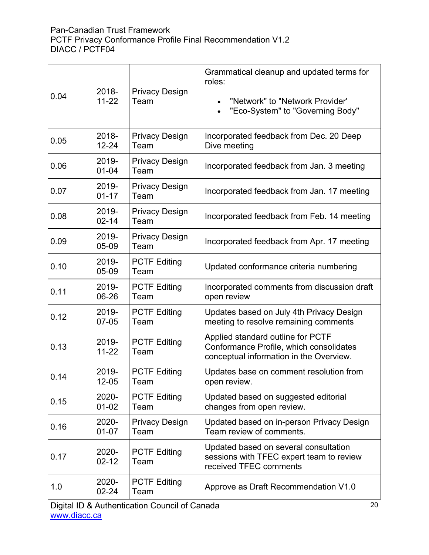| 0.04 | 2018-<br>$11 - 22$ | <b>Privacy Design</b><br>Team | Grammatical cleanup and updated terms for<br>roles:<br>"Network" to "Network Provider"<br>"Eco-System" to "Governing Body"<br>$\bullet$ |
|------|--------------------|-------------------------------|-----------------------------------------------------------------------------------------------------------------------------------------|
| 0.05 | 2018-<br>$12 - 24$ | <b>Privacy Design</b><br>Team | Incorporated feedback from Dec. 20 Deep<br>Dive meeting                                                                                 |
| 0.06 | 2019-<br>$01 - 04$ | <b>Privacy Design</b><br>Team | Incorporated feedback from Jan. 3 meeting                                                                                               |
| 0.07 | 2019-<br>$01 - 17$ | <b>Privacy Design</b><br>Team | Incorporated feedback from Jan. 17 meeting                                                                                              |
| 0.08 | 2019-<br>$02 - 14$ | <b>Privacy Design</b><br>Team | Incorporated feedback from Feb. 14 meeting                                                                                              |
| 0.09 | 2019-<br>05-09     | <b>Privacy Design</b><br>Team | Incorporated feedback from Apr. 17 meeting                                                                                              |
| 0.10 | 2019-<br>05-09     | <b>PCTF Editing</b><br>Team   | Updated conformance criteria numbering                                                                                                  |
| 0.11 | 2019-<br>06-26     | <b>PCTF Editing</b><br>Team   | Incorporated comments from discussion draft<br>open review                                                                              |
| 0.12 | 2019-<br>07-05     | <b>PCTF Editing</b><br>Team   | Updates based on July 4th Privacy Design<br>meeting to resolve remaining comments                                                       |
| 0.13 | 2019-<br>$11 - 22$ | <b>PCTF Editing</b><br>Team   | Applied standard outline for PCTF<br>Conformance Profile, which consolidates<br>conceptual information in the Overview.                 |
| 0.14 | 2019-<br>12-05     | <b>PCTF Editing</b><br>Team   | Updates base on comment resolution from<br>open review.                                                                                 |
| 0.15 | 2020-<br>$01 - 02$ | <b>PCTF Editing</b><br>Team   | Updated based on suggested editorial<br>changes from open review.                                                                       |
| 0.16 | 2020-<br>$01 - 07$ | <b>Privacy Design</b><br>Team | Updated based on in-person Privacy Design<br>Team review of comments.                                                                   |
| 0.17 | 2020-<br>$02 - 12$ | <b>PCTF Editing</b><br>Team   | Updated based on several consultation<br>sessions with TFEC expert team to review<br>received TFEC comments                             |
| 1.0  | 2020-<br>02-24     | <b>PCTF Editing</b><br>Team   | Approve as Draft Recommendation V1.0                                                                                                    |